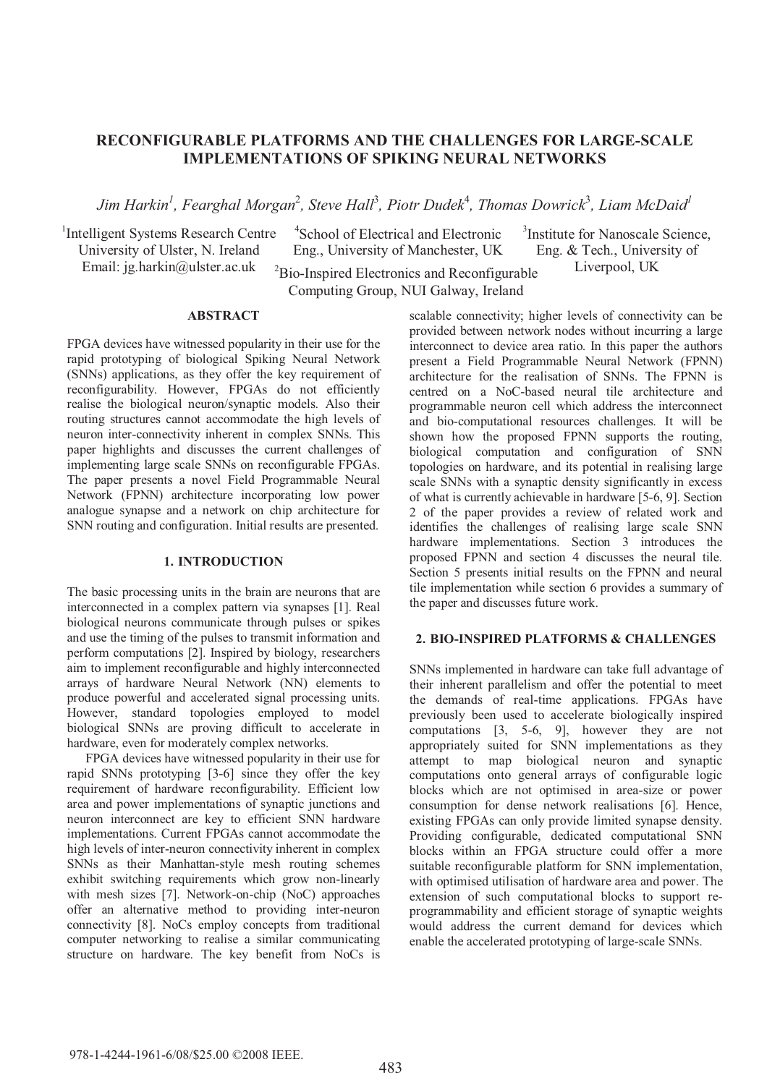# **RECONFIGURABLE PLATFORMS AND THE CHALLENGES FOR LARGE-SCALE IMPLEMENTATIONS OF SPIKING NEURAL NETWORKS**

 $J$ im Harkin<sup>1</sup>, Fearghal Morgan $^2$ , Steve Hall $^3$ , Piotr Dudek $^4$ , Thomas Dowrick $^3$ , Liam McDaid $^1$ 

<sup>1</sup>Intelligent Systems Research Centre University of Ulster, N. Ireland Email: jg.harkin@ulster.ac.uk

<sup>3</sup>Institute for Nanoscale Science, Eng. & Tech., University of <sup>2</sup>Bio-Inspired Electronics and Reconfigurable Liverpool, UK Computing Group, NUI Galway, Ireland 4 School of Electrical and Electronic Eng., University of Manchester, UK

## **ABSTRACT**

FPGA devices have witnessed popularity in their use for the rapid prototyping of biological Spiking Neural Network (SNNs) applications, as they offer the key requirement of reconfigurability. However, FPGAs do not efficiently realise the biological neuron/synaptic models. Also their routing structures cannot accommodate the high levels of neuron inter-connectivity inherent in complex SNNs. This paper highlights and discusses the current challenges of implementing large scale SNNs on reconfigurable FPGAs. The paper presents a novel Field Programmable Neural Network (FPNN) architecture incorporating low power analogue synapse and a network on chip architecture for SNN routing and configuration. Initial results are presented.

#### **1. INTRODUCTION**

The basic processing units in the brain are neurons that are interconnected in a complex pattern via synapses [1]. Real biological neurons communicate through pulses or spikes and use the timing of the pulses to transmit information and perform computations [2]. Inspired by biology, researchers aim to implement reconfigurable and highly interconnected arrays of hardware Neural Network (NN) elements to produce powerful and accelerated signal processing units. However, standard topologies employed to model biological SNNs are proving difficult to accelerate in hardware, even for moderately complex networks.

 FPGA devices have witnessed popularity in their use for rapid SNNs prototyping [3-6] since they offer the key requirement of hardware reconfigurability. Efficient low area and power implementations of synaptic junctions and neuron interconnect are key to efficient SNN hardware implementations. Current FPGAs cannot accommodate the high levels of inter-neuron connectivity inherent in complex SNNs as their Manhattan-style mesh routing schemes exhibit switching requirements which grow non-linearly with mesh sizes [7]. Network-on-chip (NoC) approaches offer an alternative method to providing inter-neuron connectivity [8]. NoCs employ concepts from traditional computer networking to realise a similar communicating structure on hardware. The key benefit from NoCs is scalable connectivity; higher levels of connectivity can be provided between network nodes without incurring a large interconnect to device area ratio. In this paper the authors present a Field Programmable Neural Network (FPNN) architecture for the realisation of SNNs. The FPNN is centred on a NoC-based neural tile architecture and programmable neuron cell which address the interconnect and bio-computational resources challenges. It will be shown how the proposed FPNN supports the routing, biological computation and configuration of SNN topologies on hardware, and its potential in realising large scale SNNs with a synaptic density significantly in excess of what is currently achievable in hardware [5-6, 9]. Section 2 of the paper provides a review of related work and identifies the challenges of realising large scale SNN hardware implementations. Section 3 introduces the proposed FPNN and section 4 discusses the neural tile. Section 5 presents initial results on the FPNN and neural tile implementation while section 6 provides a summary of the paper and discusses future work.

### **2. BIO-INSPIRED PLATFORMS & CHALLENGES**

SNNs implemented in hardware can take full advantage of their inherent parallelism and offer the potential to meet the demands of real-time applications. FPGAs have previously been used to accelerate biologically inspired computations [3, 5-6, 9], however they are not appropriately suited for SNN implementations as they attempt to map biological neuron and synaptic computations onto general arrays of configurable logic blocks which are not optimised in area-size or power consumption for dense network realisations [6]. Hence, existing FPGAs can only provide limited synapse density. Providing configurable, dedicated computational SNN blocks within an FPGA structure could offer a more suitable reconfigurable platform for SNN implementation, with optimised utilisation of hardware area and power. The extension of such computational blocks to support reprogrammability and efficient storage of synaptic weights would address the current demand for devices which enable the accelerated prototyping of large-scale SNNs.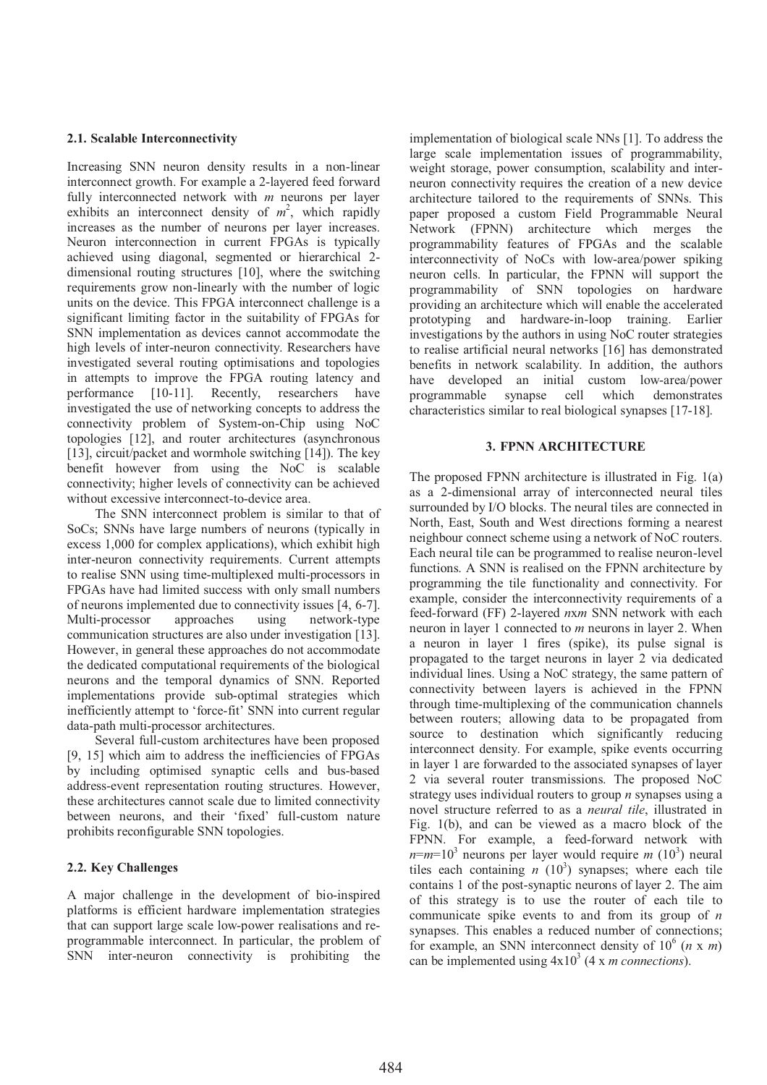#### **2.1. Scalable Interconnectivity**

Increasing SNN neuron density results in a non-linear interconnect growth. For example a 2-layered feed forward fully interconnected network with *m* neurons per layer exhibits an interconnect density of  $m^2$ , which rapidly increases as the number of neurons per layer increases. Neuron interconnection in current FPGAs is typically achieved using diagonal, segmented or hierarchical 2 dimensional routing structures [10], where the switching requirements grow non-linearly with the number of logic units on the device. This FPGA interconnect challenge is a significant limiting factor in the suitability of FPGAs for SNN implementation as devices cannot accommodate the high levels of inter-neuron connectivity. Researchers have investigated several routing optimisations and topologies in attempts to improve the FPGA routing latency and performance [10-11]. Recently, researchers have investigated the use of networking concepts to address the connectivity problem of System-on-Chip using NoC topologies [12], and router architectures (asynchronous [13], circuit/packet and wormhole switching [14]). The key benefit however from using the NoC is scalable connectivity; higher levels of connectivity can be achieved without excessive interconnect-to-device area.

The SNN interconnect problem is similar to that of SoCs; SNNs have large numbers of neurons (typically in excess 1,000 for complex applications), which exhibit high inter-neuron connectivity requirements. Current attempts to realise SNN using time-multiplexed multi-processors in FPGAs have had limited success with only small numbers of neurons implemented due to connectivity issues [4, 6-7]. Multi-processor approaches using network-type communication structures are also under investigation [13]. However, in general these approaches do not accommodate the dedicated computational requirements of the biological neurons and the temporal dynamics of SNN. Reported implementations provide sub-optimal strategies which inefficiently attempt to 'force-fit' SNN into current regular data-path multi-processor architectures.

Several full-custom architectures have been proposed [9, 15] which aim to address the inefficiencies of FPGAs by including optimised synaptic cells and bus-based address-event representation routing structures. However, these architectures cannot scale due to limited connectivity between neurons, and their 'fixed' full-custom nature prohibits reconfigurable SNN topologies.

### **2.2. Key Challenges**

A major challenge in the development of bio-inspired platforms is efficient hardware implementation strategies that can support large scale low-power realisations and reprogrammable interconnect. In particular, the problem of SNN inter-neuron connectivity is prohibiting the implementation of biological scale NNs [1]. To address the large scale implementation issues of programmability, weight storage, power consumption, scalability and interneuron connectivity requires the creation of a new device architecture tailored to the requirements of SNNs. This paper proposed a custom Field Programmable Neural Network (FPNN) architecture which merges the programmability features of FPGAs and the scalable interconnectivity of NoCs with low-area/power spiking neuron cells. In particular, the FPNN will support the programmability of SNN topologies on hardware providing an architecture which will enable the accelerated prototyping and hardware-in-loop training. Earlier investigations by the authors in using NoC router strategies to realise artificial neural networks [16] has demonstrated benefits in network scalability. In addition, the authors have developed an initial custom low-area/power programmable synapse cell which demonstrates characteristics similar to real biological synapses [17-18].

### **3. FPNN ARCHITECTURE**

The proposed FPNN architecture is illustrated in Fig. 1(a) as a 2-dimensional array of interconnected neural tiles surrounded by I/O blocks. The neural tiles are connected in North, East, South and West directions forming a nearest neighbour connect scheme using a network of NoC routers. Each neural tile can be programmed to realise neuron-level functions. A SNN is realised on the FPNN architecture by programming the tile functionality and connectivity. For example, consider the interconnectivity requirements of a feed-forward (FF) 2-layered *n*x*m* SNN network with each neuron in layer 1 connected to *m* neurons in layer 2. When a neuron in layer 1 fires (spike), its pulse signal is propagated to the target neurons in layer 2 via dedicated individual lines. Using a NoC strategy, the same pattern of connectivity between layers is achieved in the FPNN through time-multiplexing of the communication channels between routers; allowing data to be propagated from source to destination which significantly reducing interconnect density. For example, spike events occurring in layer 1 are forwarded to the associated synapses of layer 2 via several router transmissions. The proposed NoC strategy uses individual routers to group *n* synapses using a novel structure referred to as a *neural tile*, illustrated in Fig. 1(b), and can be viewed as a macro block of the FPNN. For example, a feed-forward network with  $n=m=10^3$  neurons per layer would require *m* (10<sup>3</sup>) neural tiles each containing  $n(10^3)$  synapses; where each tile contains 1 of the post-synaptic neurons of layer 2. The aim of this strategy is to use the router of each tile to communicate spike events to and from its group of *n* synapses. This enables a reduced number of connections; for example, an SNN interconnect density of  $10^6$  (*n* x *m*) can be implemented using  $4x10^3$  (4 x *m connections*).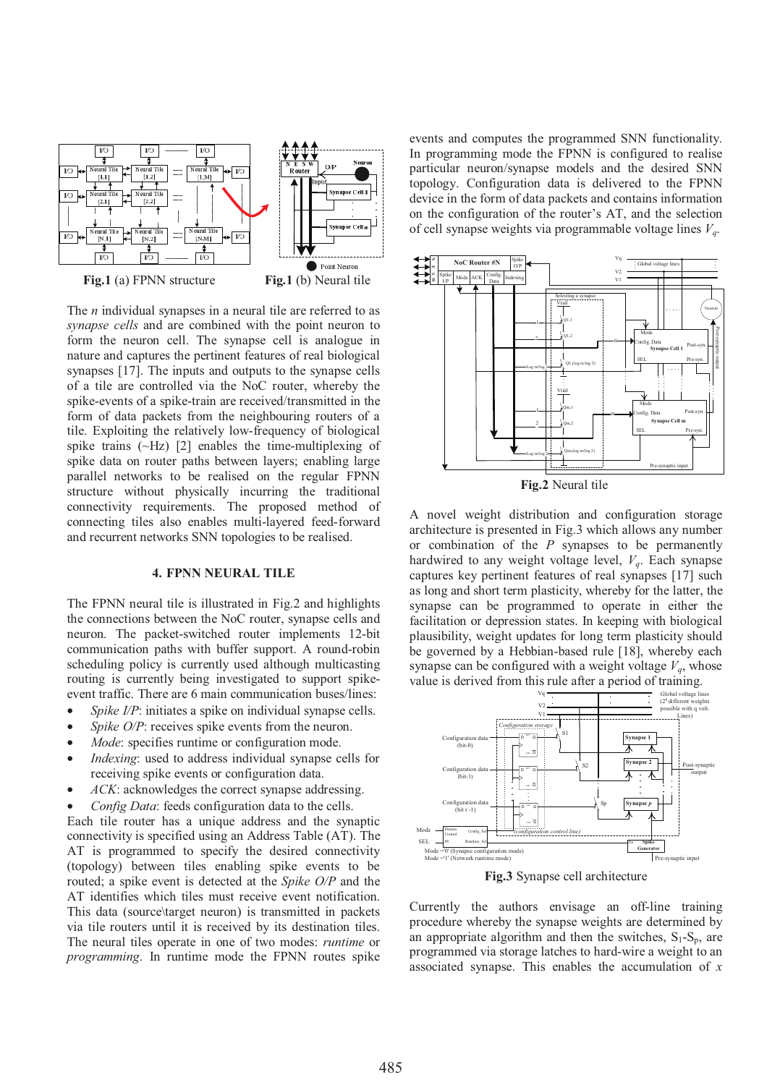

The *n* individual synapses in a neural tile are referred to as *synapse cells* and are combined with the point neuron to form the neuron cell. The synapse cell is analogue in nature and captures the pertinent features of real biological synapses [17]. The inputs and outputs to the synapse cells of a tile are controlled via the NoC router, whereby the spike-events of a spike-train are received/transmitted in the form of data packets from the neighbouring routers of a tile. Exploiting the relatively low-frequency of biological spike trains  $(\sim Hz)$  [2] enables the time-multiplexing of spike data on router paths between layers; enabling large parallel networks to be realised on the regular FPNN structure without physically incurring the traditional connectivity requirements. The proposed method of connecting tiles also enables multi-layered feed-forward and recurrent networks SNN topologies to be realised.

#### **4. FPNN NEURAL TILE**

The FPNN neural tile is illustrated in Fig.2 and highlights the connections between the NoC router, synapse cells and neuron. The packet-switched router implements 12-bit communication paths with buffer support. A round-robin scheduling policy is currently used although multicasting routing is currently being investigated to support spikeevent traffic. There are 6 main communication buses/lines:

- Spike I/P: initiates a spike on individual synapse cells.
- *Spike O/P*: receives spike events from the neuron.
- Mode: specifies runtime or configuration mode.
- *Indexing*: used to address individual synapse cells for receiving spike events or configuration data.
- ACK: acknowledges the correct synapse addressing.
- *Config Data*: feeds configuration data to the cells.

Each tile router has a unique address and the synaptic connectivity is specified using an Address Table (AT). The AT is programmed to specify the desired connectivity (topology) between tiles enabling spike events to be routed; a spike event is detected at the *Spike O/P* and the AT identifies which tiles must receive event notification. This data (source\target neuron) is transmitted in packets via tile routers until it is received by its destination tiles. The neural tiles operate in one of two modes: *runtime* or *programming*. In runtime mode the FPNN routes spike events and computes the programmed SNN functionality. In programming mode the FPNN is configured to realise particular neuron/synapse models and the desired SNN topology. Configuration data is delivered to the FPNN device in the form of data packets and contains information on the configuration of the router's AT, and the selection of cell synapse weights via programmable voltage lines *Vq*.



**Fig.2** Neural tile

A novel weight distribution and configuration storage architecture is presented in Fig.3 which allows any number or combination of the *P* synapses to be permanently hardwired to any weight voltage level, *Vq*. Each synapse captures key pertinent features of real synapses [17] such as long and short term plasticity, whereby for the latter, the synapse can be programmed to operate in either the facilitation or depression states. In keeping with biological plausibility, weight updates for long term plasticity should be governed by a Hebbian-based rule [18], whereby each synapse can be configured with a weight voltage  $V_q$ , whose value is derived from this rule after a period of training.



**Fig.3** Synapse cell architecture

Currently the authors envisage an off-line training procedure whereby the synapse weights are determined by an appropriate algorithm and then the switches,  $S_1-S_p$ , are programmed via storage latches to hard-wire a weight to an associated synapse. This enables the accumulation of *x*